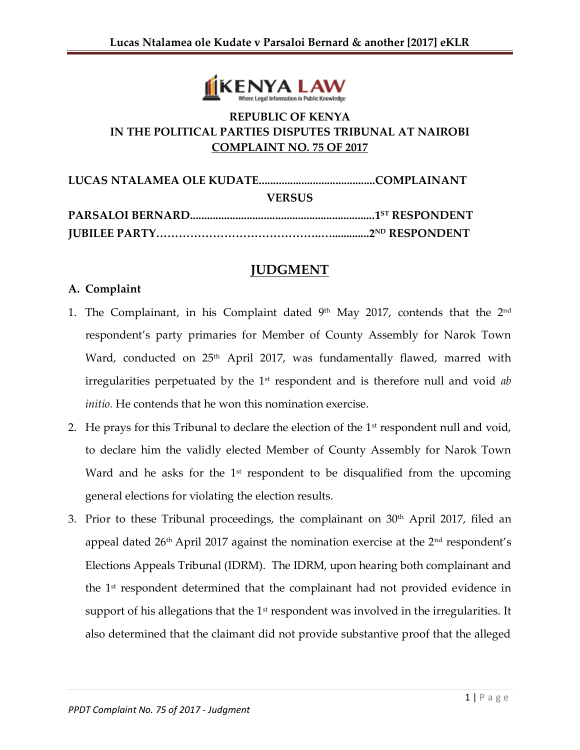

## **REPUBLIC OF KENYA IN THE POLITICAL PARTIES DISPUTES TRIBUNAL AT NAIROBI COMPLAINT NO. 75 OF 2017**

| <b>VERSUS</b> |  |
|---------------|--|
|               |  |
|               |  |

# **JUDGMENT**

## **A. Complaint**

- 1. The Complainant, in his Complaint dated  $9<sup>th</sup>$  May 2017, contends that the  $2<sup>nd</sup>$ respondent's party primaries for Member of County Assembly for Narok Town Ward, conducted on 25<sup>th</sup> April 2017, was fundamentally flawed, marred with irregularities perpetuated by the 1<sup>st</sup> respondent and is therefore null and void *ab initio.* He contends that he won this nomination exercise.
- 2. He prays for this Tribunal to declare the election of the  $1<sup>st</sup>$  respondent null and void, to declare him the validly elected Member of County Assembly for Narok Town Ward and he asks for the  $1<sup>st</sup>$  respondent to be disqualified from the upcoming general elections for violating the election results.
- 3. Prior to these Tribunal proceedings, the complainant on  $30<sup>th</sup>$  April 2017, filed an appeal dated  $26<sup>th</sup>$  April 2017 against the nomination exercise at the  $2<sup>nd</sup>$  respondent's Elections Appeals Tribunal (IDRM). The IDRM, upon hearing both complainant and the 1st respondent determined that the complainant had not provided evidence in support of his allegations that the  $1<sup>st</sup>$  respondent was involved in the irregularities. It also determined that the claimant did not provide substantive proof that the alleged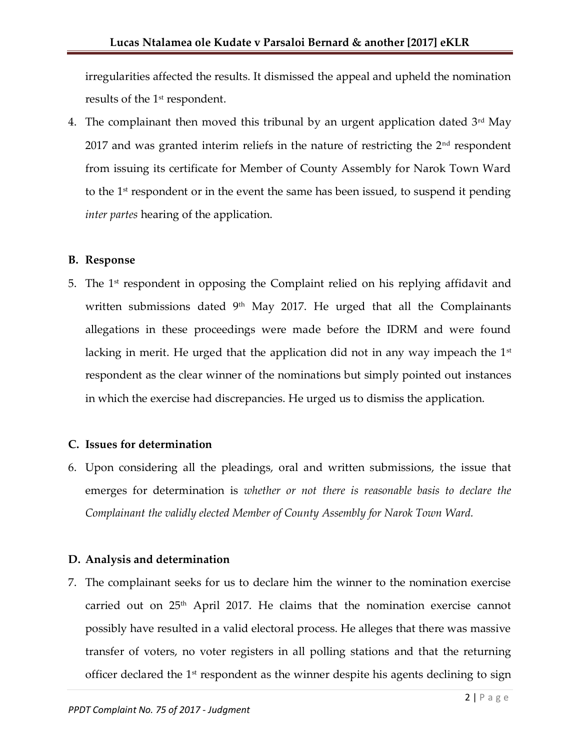irregularities affected the results. It dismissed the appeal and upheld the nomination results of the 1<sup>st</sup> respondent.

4. The complainant then moved this tribunal by an urgent application dated  $3<sup>rd</sup>$  May  $2017$  and was granted interim reliefs in the nature of restricting the  $2<sup>nd</sup>$  respondent from issuing its certificate for Member of County Assembly for Narok Town Ward to the 1<sup>st</sup> respondent or in the event the same has been issued, to suspend it pending *inter partes* hearing of the application.

#### **B. Response**

5. The 1 st respondent in opposing the Complaint relied on his replying affidavit and written submissions dated  $9<sup>th</sup>$  May 2017. He urged that all the Complainants allegations in these proceedings were made before the IDRM and were found lacking in merit. He urged that the application did not in any way impeach the  $1<sup>st</sup>$ respondent as the clear winner of the nominations but simply pointed out instances in which the exercise had discrepancies. He urged us to dismiss the application.

#### **C. Issues for determination**

6. Upon considering all the pleadings, oral and written submissions, the issue that emerges for determination is *whether or not there is reasonable basis to declare the Complainant the validly elected Member of County Assembly for Narok Town Ward.*

#### **D. Analysis and determination**

7. The complainant seeks for us to declare him the winner to the nomination exercise carried out on 25th April 2017. He claims that the nomination exercise cannot possibly have resulted in a valid electoral process. He alleges that there was massive transfer of voters, no voter registers in all polling stations and that the returning officer declared the  $1<sup>st</sup>$  respondent as the winner despite his agents declining to sign